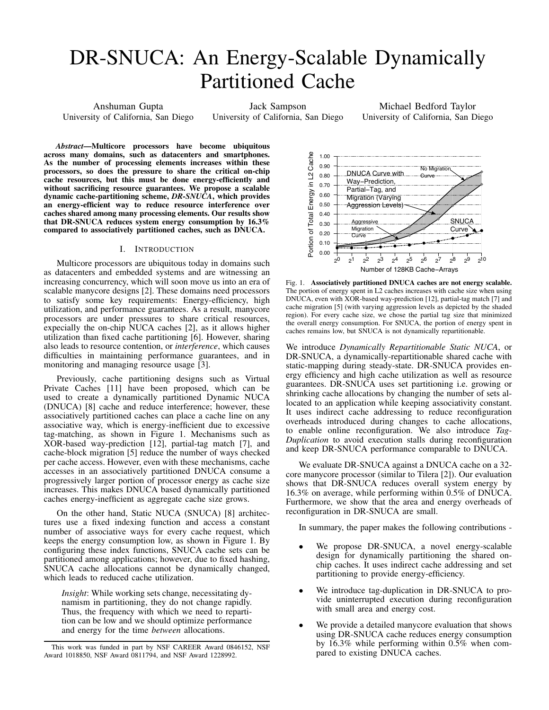# DR-SNUCA: An Energy-Scalable Dynamically Partitioned Cache

Anshuman Gupta University of California, San Diego

Jack Sampson University of California, San Diego

Michael Bedford Taylor University of California, San Diego

*Abstract*—Multicore processors have become ubiquitous across many domains, such as datacenters and smartphones. As the number of processing elements increases within these processors, so does the pressure to share the critical on-chip cache resources, but this must be done energy-efficiently and without sacrificing resource guarantees. We propose a scalable dynamic cache-partitioning scheme, *DR-SNUCA*, which provides an energy-efficient way to reduce resource interference over caches shared among many processing elements. Our results show that DR-SNUCA reduces system energy consumption by 16.3% compared to associatively partitioned caches, such as DNUCA.

#### I. INTRODUCTION

Multicore processors are ubiquitous today in domains such as datacenters and embedded systems and are witnessing an increasing concurrency, which will soon move us into an era of scalable manycore designs [2]. These domains need processors to satisfy some key requirements: Energy-efficiency, high utilization, and performance guarantees. As a result, manycore processors are under pressures to share critical resources, expecially the on-chip NUCA caches [2], as it allows higher utilization than fixed cache partitioning [6]. However, sharing also leads to resource contention, or *interference*, which causes difficulties in maintaining performance guarantees, and in monitoring and managing resource usage [3].

Previously, cache partitioning designs such as Virtual Private Caches [11] have been proposed, which can be used to create a dynamically partitioned Dynamic NUCA (DNUCA) [8] cache and reduce interference; however, these associatively partitioned caches can place a cache line on any associative way, which is energy-inefficient due to excessive tag-matching, as shown in Figure 1. Mechanisms such as XOR-based way-prediction [12], partial-tag match [7], and cache-block migration [5] reduce the number of ways checked per cache access. However, even with these mechanisms, cache accesses in an associatively partitioned DNUCA consume a progressively larger portion of processor energy as cache size increases. This makes DNUCA based dynamically partitioned caches energy-inefficient as aggregate cache size grows.

On the other hand, Static NUCA (SNUCA) [8] architectures use a fixed indexing function and access a constant number of associative ways for every cache request, which keeps the energy consumption low, as shown in Figure 1. By configuring these index functions, SNUCA cache sets can be partitioned among applications; however, due to fixed hashing, SNUCA cache allocations cannot be dynamically changed, which leads to reduced cache utilization.

*Insight*: While working sets change, necessitating dynamism in partitioning, they do not change rapidly. Thus, the frequency with which we need to repartition can be low and we should optimize performance and energy for the time *between* allocations.



Fig. 1. Associatively partitioned DNUCA caches are not energy scalable. The portion of energy spent in L2 caches increases with cache size when using DNUCA, even with XOR-based way-prediction [12], partial-tag match [7] and cache migration [5] (with varying aggression levels as depicted by the shaded region). For every cache size, we chose the partial tag size that minimized the overall energy consumption. For SNUCA, the portion of energy spent in caches remains low, but SNUCA is not dynamically repartitionable.

We introduce *Dynamically Repartitionable Static NUCA*, or DR-SNUCA, a dynamically-repartitionable shared cache with static-mapping during steady-state. DR-SNUCA provides energy efficiency and high cache utilization as well as resource guarantees. DR-SNUCA uses set partitioning i.e. growing or shrinking cache allocations by changing the number of sets allocated to an application while keeping associativity constant. It uses indirect cache addressing to reduce reconfiguration overheads introduced during changes to cache allocations, to enable online reconfiguration. We also introduce *Tag-Duplication* to avoid execution stalls during reconfiguration and keep DR-SNUCA performance comparable to DNUCA.

We evaluate DR-SNUCA against a DNUCA cache on a 32 core manycore processor (similar to Tilera [2]). Our evaluation shows that DR-SNUCA reduces overall system energy by 16.3% on average, while performing within 0.5% of DNUCA. Furthermore, we show that the area and energy overheads of reconfiguration in DR-SNUCA are small.

In summary, the paper makes the following contributions -

- We propose DR-SNUCA, a novel energy-scalable design for dynamically partitioning the shared onchip caches. It uses indirect cache addressing and set partitioning to provide energy-efficiency.
- We introduce tag-duplication in DR-SNUCA to provide uninterrupted execution during reconfiguration with small area and energy cost.
- We provide a detailed manycore evaluation that shows using DR-SNUCA cache reduces energy consumption by 16.3% while performing within 0.5% when compared to existing DNUCA caches.

This work was funded in part by NSF CAREER Award 0846152, NSF Award 1018850, NSF Award 0811794, and NSF Award 1228992.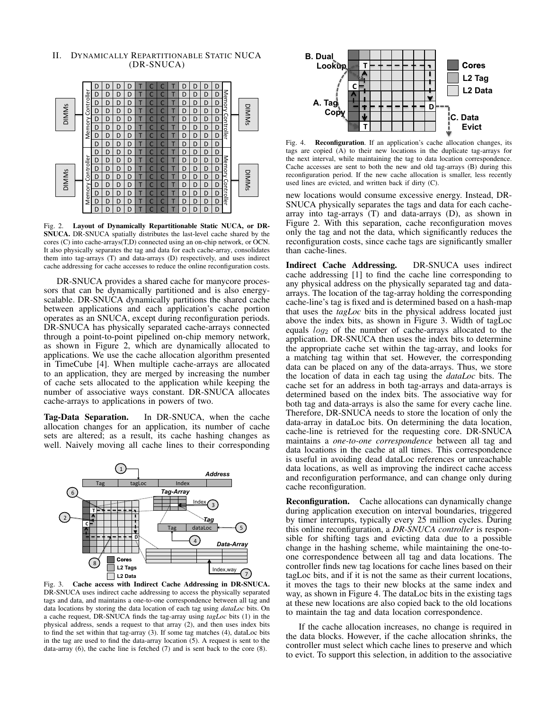

II. DYNAMICALLY REPARTITIONABLE STATIC NUCA (DR-SNUCA)

Fig. 2. Layout of Dynamically Repartitionable Static NUCA, or DR-SNUCA. DR-SNUCA spatially distributes the last-level cache shared by the cores (C) into cache-arrays(T,D) connected using an on-chip network, or OCN. It also physically separates the tag and data for each cache-array, consolidates them into tag-arrays (T) and data-arrays (D) respectively, and uses indirect cache addressing for cache accesses to reduce the online reconfiguration costs.

DR-SNUCA provides a shared cache for manycore processors that can be dynamically partitioned and is also energyscalable. DR-SNUCA dynamically partitions the shared cache between applications and each application's cache portion operates as an SNUCA, except during reconfiguration periods. DR-SNUCA has physically separated cache-arrays connected through a point-to-point pipelined on-chip memory network, as shown in Figure 2, which are dynamically allocated to applications. We use the cache allocation algorithm presented in TimeCube [4]. When multiple cache-arrays are allocated to an application, they are merged by increasing the number of cache sets allocated to the application while keeping the number of associative ways constant. DR-SNUCA allocates cache-arrays to applications in powers of two.

Tag-Data Separation. In DR-SNUCA, when the cache allocation changes for an application, its number of cache sets are altered; as a result, its cache hashing changes as well. Naively moving all cache lines to their corresponding



Fig. 3. Cache access with Indirect Cache Addressing in DR-SNUCA. DR-SNUCA uses indirect cache addressing to access the physically separated tags and data, and maintains a one-to-one correspondence between all tag and data locations by storing the data location of each tag using *dataLoc* bits. On a cache request, DR-SNUCA finds the tag-array using *tagLoc* bits (1) in the physical address, sends a request to that array (2), and then uses index bits to find the set within that tag-array (3). If some tag matches (4), dataLoc bits in the tag are used to find the data-array location (5). A request is sent to the data-array (6), the cache line is fetched (7) and is sent back to the core (8).



Fig. 4. Reconfiguration. If an application's cache allocation changes, its tags are copied (A) to their new locations in the duplicate tag-arrays for the next interval, while maintaining the tag to data location correspondence. Cache accesses are sent to both the new and old tag-arrays (B) during this reconfiguration period. If the new cache allocation is smaller, less recently used lines are evicted, and written back if dirty (C).

new locations would consume excessive energy. Instead, DR-SNUCA physically separates the tags and data for each cachearray into tag-arrays (T) and data-arrays (D), as shown in Figure 2. With this separation, cache reconfiguration moves only the tag and not the data, which significantly reduces the reconfiguration costs, since cache tags are significantly smaller than cache-lines.

Indirect Cache Addressing. DR-SNUCA uses indirect cache addressing [1] to find the cache line corresponding to any physical address on the physically separated tag and dataarrays. The location of the tag-array holding the corresponding cache-line's tag is fixed and is determined based on a hash-map that uses the *tagLoc* bits in the physical address located just above the index bits, as shown in Figure 3. Width of tagLoc equals *log*<sup>2</sup> of the number of cache-arrays allocated to the application. DR-SNUCA then uses the index bits to determine the appropriate cache set within the tag-array, and looks for a matching tag within that set. However, the corresponding data can be placed on any of the data-arrays. Thus, we store the location of data in each tag using the *dataLoc* bits. The cache set for an address in both tag-arrays and data-arrays is determined based on the index bits. The associative way for both tag and data-arrays is also the same for every cache line. Therefore, DR-SNUCA needs to store the location of only the data-array in dataLoc bits. On determining the data location, cache-line is retrieved for the requesting core. DR-SNUCA maintains a *one-to-one correspondence* between all tag and data locations in the cache at all times. This correspondence is useful in avoiding dead dataLoc references or unreachable data locations, as well as improving the indirect cache access and reconfiguration performance, and can change only during cache reconfiguration.

Reconfiguration. Cache allocations can dynamically change during application execution on interval boundaries, triggered by timer interrupts, typically every 25 million cycles. During this online reconfiguration, a *DR-SNUCA controller* is responsible for shifting tags and evicting data due to a possible change in the hashing scheme, while maintaining the one-toone correspondence between all tag and data locations. The controller finds new tag locations for cache lines based on their tagLoc bits, and if it is not the same as their current locations, it moves the tags to their new blocks at the same index and way, as shown in Figure 4. The dataLoc bits in the existing tags at these new locations are also copied back to the old locations to maintain the tag and data location correspondence.

If the cache allocation increases, no change is required in the data blocks. However, if the cache allocation shrinks, the controller must select which cache lines to preserve and which to evict. To support this selection, in addition to the associative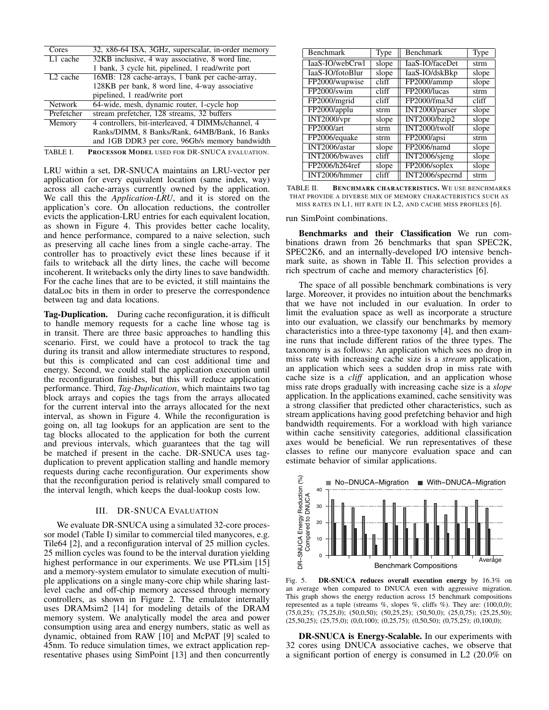| Cores                | 32, x86-64 ISA, 3GHz, superscalar, in-order memory |  |  |
|----------------------|----------------------------------------------------|--|--|
| L1 cache             | 32KB inclusive, 4 way associative, 8 word line,    |  |  |
|                      | 1 bank, 3 cycle hit, pipelined, 1 read/write port  |  |  |
| L <sub>2</sub> cache | 16MB: 128 cache-arrays, 1 bank per cache-array,    |  |  |
|                      | 128KB per bank, 8 word line, 4-way associative     |  |  |
|                      | pipelined, 1 read/write port                       |  |  |
| <b>Network</b>       | 64-wide, mesh, dynamic router, 1-cycle hop         |  |  |
| Prefetcher           | stream prefetcher, 128 streams, 32 buffers         |  |  |
| Memory               | 4 controllers, bit-interleaved, 4 DIMMs/channel, 4 |  |  |
|                      | Ranks/DIMM, 8 Banks/Rank, 64MB/Bank, 16 Banks      |  |  |
|                      | and 1GB DDR3 per core, 96Gb/s memory bandwidth     |  |  |
| TABLE I              | PROCESSOR MODEL USED FOR DR-SNUCA EVALUATION.      |  |  |

LRU within a set, DR-SNUCA maintains an LRU-vector per application for every equivalent location (same index, way) across all cache-arrays currently owned by the application. We call this the *Application-LRU*, and it is stored on the application's core. On allocation reductions, the controller evicts the application-LRU entries for each equivalent location, as shown in Figure 4. This provides better cache locality, and hence performance, compared to a naive selection, such as preserving all cache lines from a single cache-array. The controller has to proactively evict these lines because if it fails to writeback all the dirty lines, the cache will become incoherent. It writebacks only the dirty lines to save bandwidth. For the cache lines that are to be evicted, it still maintains the dataLoc bits in them in order to preserve the correspondence between tag and data locations.

Tag-Duplication. During cache reconfiguration, it is difficult to handle memory requests for a cache line whose tag is in transit. There are three basic approaches to handling this scenario. First, we could have a protocol to track the tag during its transit and allow intermediate structures to respond, but this is complicated and can cost additional time and energy. Second, we could stall the application execution until the reconfiguration finishes, but this will reduce application performance. Third, *Tag-Duplication*, which maintains two tag block arrays and copies the tags from the arrays allocated for the current interval into the arrays allocated for the next interval, as shown in Figure 4. While the reconfiguration is going on, all tag lookups for an application are sent to the tag blocks allocated to the application for both the current and previous intervals, which guarantees that the tag will be matched if present in the cache. DR-SNUCA uses tagduplication to prevent application stalling and handle memory requests during cache reconfiguration. Our experiments show that the reconfiguration period is relatively small compared to the interval length, which keeps the dual-lookup costs low.

## III. DR-SNUCA EVALUATION

We evaluate DR-SNUCA using a simulated 32-core processor model (Table I) similar to commercial tiled manycores, e.g. Tile64 [2], and a reconfiguration interval of 25 million cycles. 25 million cycles was found to be the interval duration yielding highest performance in our experiments. We use PTLsim [15] and a memory-system emulator to simulate execution of multiple applications on a single many-core chip while sharing lastlevel cache and off-chip memory accessed through memory controllers, as shown in Figure 2. The emulator internally uses DRAMsim2 [14] for modeling details of the DRAM memory system. We analytically model the area and power consumption using area and energy numbers, static as well as dynamic, obtained from RAW [10] and McPAT [9] scaled to 45nm. To reduce simulation times, we extract application representative phases using SimPoint [13] and then concurrently

| <b>Benchmark</b> | Type  | Benchmark       | <b>Type</b> |
|------------------|-------|-----------------|-------------|
| IaaS-IO/webCrwl  | slope | IaaS-IO/faceDet | strm        |
| IaaS-IO/fotoBlur | slope | IaaS-IO/dskBkp  | slope       |
| FP2000/wupwise   | cliff | FP2000/ammp     | slope       |
| FP2000/swim      | cliff | FP2000/lucas    | strm        |
| FP2000/mgrid     | cliff | FP2000/fma3d    | cliff       |
| FP2000/applu     | strm  | INT2000/parser  | slope       |
| INT2000/vpr      | slope | INT2000/bzip2   | slope       |
| FP2000/art       | strm  | INT2000/twolf   | slope       |
| FP2006/equake    | strm  | FP2000/apsi     | strm        |
| INT2006/astar    | slope | FP2006/namd     | slope       |
| INT2006/bwaves   | cliff | INT2006/sjeng   | slope       |
| FP2006/h264ref   | slope | FP2006/soplex   | slope       |
| INT2006/hmmer    | cliff | INT2006/specrnd | strm        |

TABLE II. BENCHMARK CHARACTERISTICS. WE USE BENCHMARKS THAT PROVIDE A DIVERSE MIX OF MEMORY CHARACTERISTICS SUCH AS MISS RATES IN L1, HIT RATE IN L2, AND CACHE MISS PROFILES [6].

#### run SimPoint combinations.

Benchmarks and their Classification We run combinations drawn from 26 benchmarks that span SPEC2K, SPEC2K6, and an internally-developed I/O intensive benchmark suite, as shown in Table II. This selection provides a rich spectrum of cache and memory characteristics [6].

The space of all possible benchmark combinations is very large. Moreover, it provides no intuition about the benchmarks that we have not included in our evaluation. In order to limit the evaluation space as well as incorporate a structure into our evaluation, we classify our benchmarks by memory characteristics into a three-type taxonomy [4], and then examine runs that include different ratios of the three types. The taxonomy is as follows: An application which sees no drop in miss rate with increasing cache size is a *stream* application, an application which sees a sudden drop in miss rate with cache size is a *cliff* application, and an application whose miss rate drops gradually with increasing cache size is a *slope* application. In the applications examined, cache sensitivity was a strong classifier that predicted other characteristics, such as stream applications having good prefetching behavior and high bandwidth requirements. For a workload with high variance within cache sensitivity categories, additional classification axes would be beneficial. We run representatives of these classes to refine our manycore evaluation space and can estimate behavior of similar applications.



Fig. 5. DR-SNUCA reduces overall execution energy by 16.3% on an average when compared to DNUCA even with aggressive migration. This graph shows the energy reduction across 15 benchmark compositions represented as a tuple (streams %, slopes %, cliffs %). They are: (100,0,0);  $(75,0,25)$ ;  $(75,25,0)$ ;  $(50,0,50)$ ;  $(50,25,25)$ ;  $(50,50,0)$ ;  $(25,0,75)$ ;  $(25,25,50)$ ; (25,50,25); (25,75,0); (0,0,100); (0,25,75); (0,50,50); (0,75,25); (0,100,0);

DR-SNUCA is Energy-Scalable. In our experiments with 32 cores using DNUCA associative caches, we observe that a significant portion of energy is consumed in L2 (20.0% on